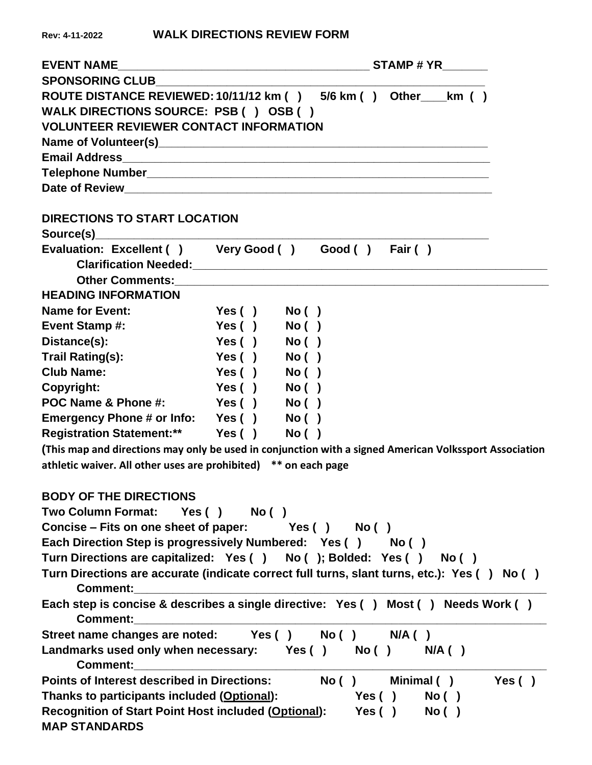| <b>EVENT NAME</b>                                                                                              |                              |        |  |            |                |       |
|----------------------------------------------------------------------------------------------------------------|------------------------------|--------|--|------------|----------------|-------|
|                                                                                                                |                              |        |  |            |                |       |
| ROUTE DISTANCE REVIEWED: 10/11/12 km () 5/6 km () Other ___ km ()                                              |                              |        |  |            |                |       |
| WALK DIRECTIONS SOURCE: PSB () OSB ()                                                                          |                              |        |  |            |                |       |
| <b>VOLUNTEER REVIEWER CONTACT INFORMATION</b>                                                                  |                              |        |  |            |                |       |
|                                                                                                                |                              |        |  |            |                |       |
|                                                                                                                |                              |        |  |            |                |       |
|                                                                                                                |                              |        |  |            |                |       |
|                                                                                                                |                              |        |  |            |                |       |
| <b>DIRECTIONS TO START LOCATION</b>                                                                            |                              |        |  |            |                |       |
|                                                                                                                |                              |        |  |            |                |       |
| Evaluation: Excellent () Very Good () Good () Fair ()                                                          |                              |        |  |            |                |       |
|                                                                                                                |                              |        |  |            |                |       |
|                                                                                                                |                              |        |  |            |                |       |
| <b>HEADING INFORMATION</b>                                                                                     |                              |        |  |            |                |       |
| <b>Name for Event:</b>                                                                                         | Yes()                        | No ( ) |  |            |                |       |
| <b>Event Stamp#:</b>                                                                                           | Yes()                        | No()   |  |            |                |       |
| Distance(s):                                                                                                   | Yes()                        | No( )  |  |            |                |       |
| Trail Rating(s):                                                                                               | Yes()                        | No( )  |  |            |                |       |
| <b>Club Name:</b>                                                                                              | Yes()                        | No( )  |  |            |                |       |
| Copyright:                                                                                                     | Yes()                        | No( )  |  |            |                |       |
| POC Name & Phone #:                                                                                            | <b>Example Serve Yes ( )</b> | No ( ) |  |            |                |       |
| Emergency Phone # or Info: Yes ()                                                                              |                              | No( )  |  |            |                |       |
| Registration Statement:** Yes ()                                                                               |                              | No( )  |  |            |                |       |
| (This map and directions may only be used in conjunction with a signed American Volkssport Association         |                              |        |  |            |                |       |
| athletic waiver. All other uses are prohibited) ** on each page                                                |                              |        |  |            |                |       |
|                                                                                                                |                              |        |  |            |                |       |
| <b>BODY OF THE DIRECTIONS</b>                                                                                  |                              |        |  |            |                |       |
| Two Column Format: Yes () No ()                                                                                |                              |        |  |            |                |       |
| Concise – Fits on one sheet of paper: $Yes( )$ No ()                                                           |                              |        |  |            |                |       |
| Each Direction Step is progressively Numbered: Yes () No ()                                                    |                              |        |  |            |                |       |
| Turn Directions are capitalized: Yes () No (); Bolded: Yes () No ()                                            |                              |        |  |            |                |       |
| Turn Directions are accurate (indicate correct full turns, slant turns, etc.): Yes () No ()<br><b>Comment:</b> |                              |        |  |            |                |       |
| Each step is concise & describes a single directive: Yes () Most () Needs Work ()                              |                              |        |  |            |                |       |
| <b>Comment: Comment:</b>                                                                                       |                              |        |  |            |                |       |
| Street name changes are noted: Yes () No () N/A ()                                                             |                              |        |  |            |                |       |
| Landmarks used only when necessary: Yes () No () N/A ()                                                        |                              |        |  |            |                |       |
|                                                                                                                |                              |        |  |            |                |       |
| <b>Points of Interest described in Directions:</b>                                                             |                              |        |  |            | No() Minimal() | Yes() |
| Thanks to participants included (Optional):                                                                    |                              |        |  | Yes() No() |                |       |
| <b>Recognition of Start Point Host included (Optional):</b>                                                    |                              |        |  | Yes() No() |                |       |
| <b>MAP STANDARDS</b>                                                                                           |                              |        |  |            |                |       |